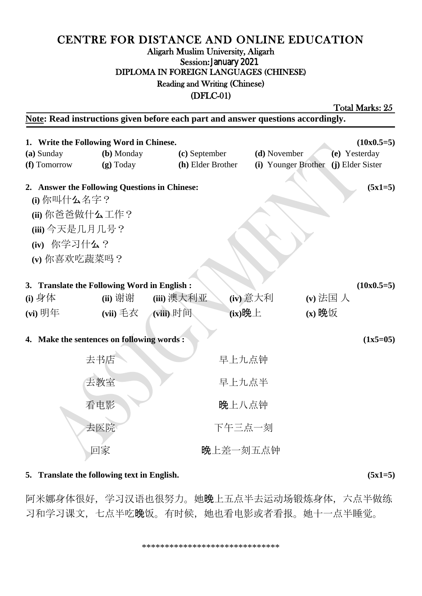# CENTRE FOR DISTANCE AND ONLINE EDUCATION Aligarh Muslim University, Aligarh Session: January 2021 DIPLOMA IN FOREIGN LANGUAGES (CHINESE) Reading and Writing (Chinese)

(DFLC-01)

Total Marks: 25

**Note: Read instructions given before each part and answer questions accordingly. 1. Write the Following Word in Chinese. (10x0.5=5) (a)** Sunday **(b)** Monday **(c)** September **(d)** November **(e)** Yesterday **(f)** Tomorrow **(g)** Today **(h)** Elder Brother **(i)** Younger Brother **(j)** Elder Sister **2. Answer the Following Questions in Chinese: (5x1=5) (i)** 你叫什么名字? **(ii)** 你爸爸做什么工作? **(iii)** 今天是几月几号? **(iv)** 你学习什么? **(v)** 你喜欢吃蔬菜吗? **3. Translate the Following Word in English : (10x0.5=5) (i)** 身体 **(ii)** 谢谢 **(iii)** 澳大利亚 **(iv)** 意大利 **(v)** 法国 人 **(vi)** 明年 **(vii)** 毛衣 **(viii)** 时间 **(ix)**晚上 **(x)** 晚饭 **4. Make the sentences on following words : (1x5=05)** 去书店 まちょう マンクローク 早上九点钟 去教室 子宫 医心室 早上九点半 看电影 不可以 医上八点钟 去医院 おおおおおおおおおおおおお 下午三点一刻 回家 有人 医心包 医上差一刻五点钟

### **5. Translate the following text in English. (5x1=5)**

阿米娜身体很好,学习汉语也很努力。她晚上五点半去运动场锻炼身体,六点半做练 习和学习课文,七点半吃晚饭。有时候,她也看电影或者看报。她十一点半睡觉。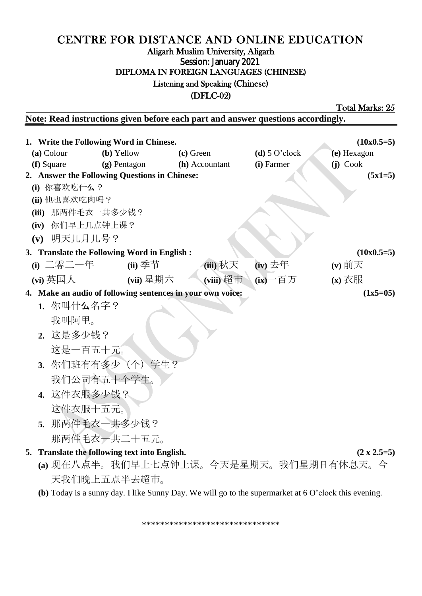## CENTRE FOR DISTANCE AND ONLINE EDUCATION Aligarh Muslim University, Aligarh Session: January 2021 DIPLOMA IN FOREIGN LANGUAGES (CHINESE) Listening and Speaking (Chinese) (DFLC-02)

Total Marks: 25

**Note: Read instructions given before each part and answer questions accordingly.** 

| 1. Write the Following Word in Chinese.<br>$(10x0.5=5)$                  |                 |                                               |                |                 |                                                                                                      |  |
|--------------------------------------------------------------------------|-----------------|-----------------------------------------------|----------------|-----------------|------------------------------------------------------------------------------------------------------|--|
|                                                                          | (a) Colour      | (b) Yellow                                    | (c) Green      | $(d)$ 5 O'clock | (e) Hexagon                                                                                          |  |
|                                                                          | (f) Square      | (g) Pentagon                                  | (h) Accountant | (i) Farmer      | (j) Cook                                                                                             |  |
|                                                                          |                 | 2. Answer the Following Questions in Chinese: |                |                 | $(5x1=5)$                                                                                            |  |
|                                                                          | (i) 你喜欢吃什么?     |                                               |                |                 |                                                                                                      |  |
| (ii) 他也喜欢吃肉吗?                                                            |                 |                                               |                |                 |                                                                                                      |  |
| (iii) 那两件毛衣一共多少钱?                                                        |                 |                                               |                |                 |                                                                                                      |  |
|                                                                          | (iv) 你们早上几点钟上课? |                                               |                |                 |                                                                                                      |  |
| (v) 明天几月几号?                                                              |                 |                                               |                |                 |                                                                                                      |  |
|                                                                          |                 | 3. Translate the Following Word in English :  |                |                 | $(10x0.5=5)$                                                                                         |  |
|                                                                          | (i) 二零二一年       | $(ii)$ 季节                                     | (iii) 秋天       | $(iv)$ 去年       | $(v)$ 前天                                                                                             |  |
|                                                                          | (vi) 英国人        | (vii) 星期六                                     | (viii) 超市      | $(ix)$ 一百万      | $\overline{\mathbf{x}}$ 衣服                                                                           |  |
| 4. Make an audio of following sentences in your own voice:<br>$(1x5=05)$ |                 |                                               |                |                 |                                                                                                      |  |
|                                                                          | 1. 你叫什么名字?      |                                               |                |                 |                                                                                                      |  |
|                                                                          | 我叫阿里。           |                                               |                |                 |                                                                                                      |  |
|                                                                          | 2. 这是多少钱?       |                                               |                |                 |                                                                                                      |  |
|                                                                          | 这是一百五十元。        |                                               |                |                 |                                                                                                      |  |
|                                                                          |                 | 3. 你们班有有多少 (个) 学生?                            |                |                 |                                                                                                      |  |
|                                                                          |                 |                                               |                |                 |                                                                                                      |  |
|                                                                          |                 | 我们公司有五十个学生。                                   |                |                 |                                                                                                      |  |
|                                                                          | 4. 这件衣服多少钱?     |                                               |                |                 |                                                                                                      |  |
|                                                                          | 这件衣服十五元。        |                                               |                |                 |                                                                                                      |  |
|                                                                          |                 | 5. 那两件毛衣一共多少钱?                                |                |                 |                                                                                                      |  |
|                                                                          |                 | 那两件毛衣一共二十五元。                                  |                |                 |                                                                                                      |  |
|                                                                          |                 | 5. Translate the following text into English. |                |                 | $(2 \times 2.5=5)$                                                                                   |  |
|                                                                          |                 |                                               |                |                 | (a) 现在八点半。我们早上七点钟上课。今天是星期天。我们星期日有休息天。今                                                               |  |
|                                                                          |                 | 天我们晚上五点半去超市。                                  |                |                 |                                                                                                      |  |
|                                                                          |                 |                                               |                |                 | (b) Today is a sunny day. I like Sunny Day. We will go to the supermarket at 6 O'clock this evening. |  |

\*\*\*\*\*\*\*\*\*\*\*\*\*\*\*\*\*\*\*\*\*\*\*\*\*\*\*\*\*\*